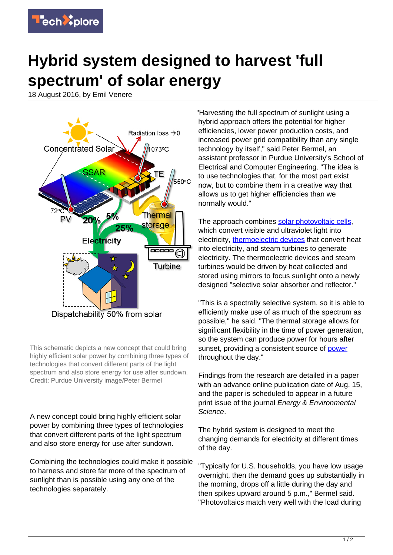

## **Hybrid system designed to harvest 'full spectrum' of solar energy**

18 August 2016, by Emil Venere



This schematic depicts a new concept that could bring highly efficient solar power by combining three types of technologies that convert different parts of the light spectrum and also store energy for use after sundown. Credit: Purdue University image/Peter Bermel

A new concept could bring highly efficient solar power by combining three types of technologies that convert different parts of the light spectrum and also store energy for use after sundown.

Combining the technologies could make it possible to harness and store far more of the spectrum of sunlight than is possible using any one of the technologies separately.

"Harvesting the full spectrum of sunlight using a hybrid approach offers the potential for higher efficiencies, lower power production costs, and increased power grid compatibility than any single technology by itself," said Peter Bermel, an assistant professor in Purdue University's School of Electrical and Computer Engineering. "The idea is to use technologies that, for the most part exist now, but to combine them in a creative way that allows us to get higher efficiencies than we normally would."

The approach combines [solar photovoltaic cells](https://techxplore.com/tags/solar+photovoltaic+cells/). which convert visible and ultraviolet light into electricity, [thermoelectric devices](https://techxplore.com/tags/thermoelectric+devices/) that convert heat into electricity, and steam turbines to generate electricity. The thermoelectric devices and steam turbines would be driven by heat collected and stored using mirrors to focus sunlight onto a newly designed "selective solar absorber and reflector."

"This is a spectrally selective system, so it is able to efficiently make use of as much of the spectrum as possible," he said. "The thermal storage allows for significant flexibility in the time of power generation, so the system can produce power for hours after sunset, providing a consistent source of **[power](https://techxplore.com/tags/power/)** throughout the day."

Findings from the research are detailed in a paper with an advance online publication date of Aug. 15, and the paper is scheduled to appear in a future print issue of the journal Energy & Environmental Science.

The hybrid system is designed to meet the changing demands for electricity at different times of the day.

"Typically for U.S. households, you have low usage overnight, then the demand goes up substantially in the morning, drops off a little during the day and then spikes upward around 5 p.m.," Bermel said. "Photovoltaics match very well with the load during